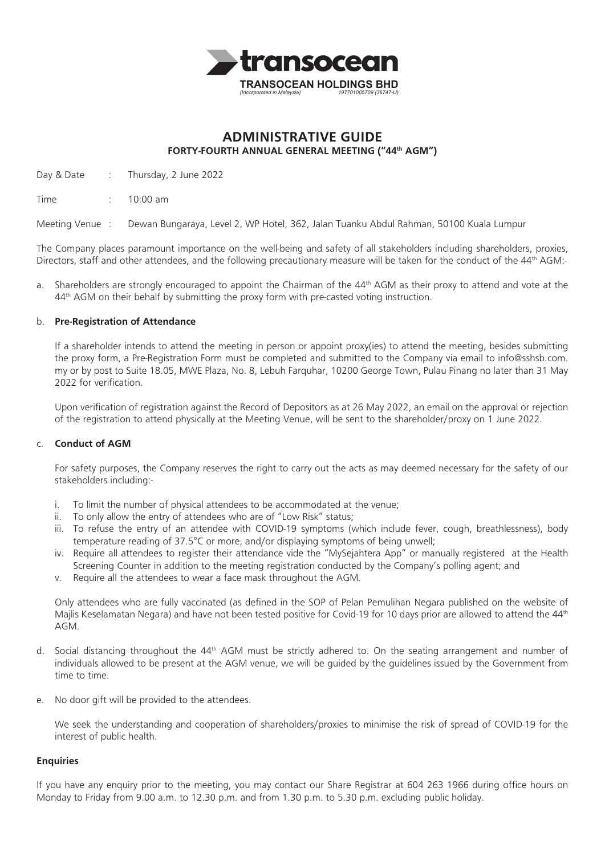

# **ADMINISTRATIVE GUIDE FORTY-FOURTH ANNUAL GENERAL MEETING ("44th AGM")**

Day & Date : Thursday, 2 June 2022

Time : 10:00 am

Meeting Venue : Dewan Bungaraya, Level 2, WP Hotel, 362, Jalan Tuanku Abdul Rahman, 50100 Kuala Lumpur

The Company places paramount importance on the well-being and safety of all stakeholders including shareholders, proxies, Directors, staff and other attendees, and the following precautionary measure will be taken for the conduct of the 44<sup>th</sup> AGM:-

a. Shareholders are strongly encouraged to appoint the Chairman of the  $44^{\text{th}}$  AGM as their proxy to attend and vote at the 44th AGM on their behalf by submitting the proxy form with pre-casted voting instruction.

## b. **Pre-Registration of Attendance**

If a shareholder intends to attend the meeting in person or appoint proxy(ies) to attend the meeting, besides submitting the proxy form, a Pre-Registration Form must be completed and submitted to the Company via email to info@sshsb.com. my or by post to Suite 18.05, MWE Plaza, No. 8, Lebuh Farquhar, 10200 George Town, Pulau Pinang no later than 31 May 2022 for verification.

Upon verification of registration against the Record of Depositors as at 26 May 2022, an email on the approval or rejection of the registration to attend physically at the Meeting Venue, will be sent to the shareholder/proxy on 1 June 2022.

## c. **Conduct of AGM**

For safety purposes, the Company reserves the right to carry out the acts as may deemed necessary for the safety of our stakeholders including:-

- i. To limit the number of physical attendees to be accommodated at the venue;
- ii. To only allow the entry of attendees who are of "Low Risk" status;
- iii. To refuse the entry of an attendee with COVID-19 symptoms (which include fever, cough, breathlessness), body temperature reading of 37.5°C or more, and/or displaying symptoms of being unwell;
- iv. Require all attendees to register their attendance vide the "MySejahtera App" or manually registered at the Health Screening Counter in addition to the meeting registration conducted by the Company's polling agent; and
- v. Require all the attendees to wear a face mask throughout the AGM.

Only attendees who are fully vaccinated (as defined in the SOP of Pelan Pemulihan Negara published on the website of Majlis Keselamatan Negara) and have not been tested positive for Covid-19 for 10 days prior are allowed to attend the 44<sup>th</sup> AGM.

- d. Social distancing throughout the 44<sup>th</sup> AGM must be strictly adhered to. On the seating arrangement and number of individuals allowed to be present at the AGM venue, we will be guided by the guidelines issued by the Government from time to time.
- e. No door gift will be provided to the attendees.

We seek the understanding and cooperation of shareholders/proxies to minimise the risk of spread of COVID-19 for the interest of public health.

## **Enquiries**

If you have any enquiry prior to the meeting, you may contact our Share Registrar at 604 263 1966 during office hours on Monday to Friday from 9.00 a.m. to 12.30 p.m. and from 1.30 p.m. to 5.30 p.m. excluding public holiday.